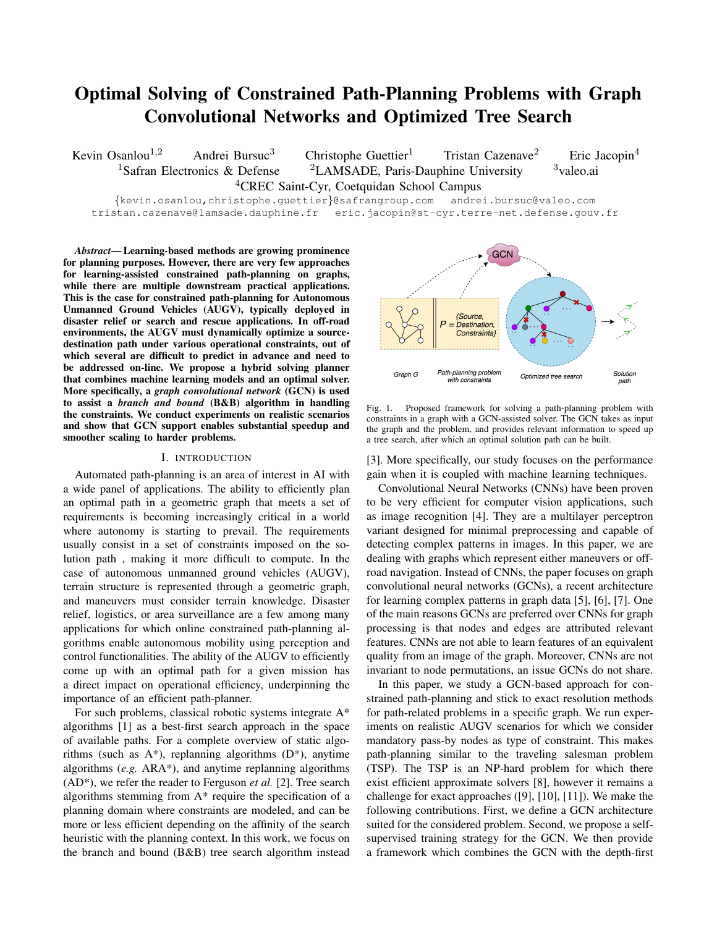# Optimal Solving of Constrained Path-Planning Problems with Graph Convolutional Networks and Optimized Tree Search

Kevin Osanlou<sup>1,2</sup> Andrei Bursuc<sup>3</sup> Christophe Guettier<sup>1</sup> Tristan Cazenave<sup>2</sup> Eric Jacopin<sup>4</sup> <sup>1</sup>Safran Electronics & Defense <sup>2</sup>LAMSADE, Paris-Dauphine University <sup>3</sup>valeo.ai <sup>4</sup>CREC Saint-Cyr, Coetquidan School Campus

{kevin.osanlou,christophe.guettier}@safrangroup.com andrei.bursuc@valeo.com tristan.cazenave@lamsade.dauphine.fr eric.jacopin@st-cyr.terre-net.defense.gouv.fr

*Abstract*— Learning-based methods are growing prominence for planning purposes. However, there are very few approaches for learning-assisted constrained path-planning on graphs, while there are multiple downstream practical applications. This is the case for constrained path-planning for Autonomous Unmanned Ground Vehicles (AUGV), typically deployed in disaster relief or search and rescue applications. In off-road environments, the AUGV must dynamically optimize a sourcedestination path under various operational constraints, out of which several are difficult to predict in advance and need to be addressed on-line. We propose a hybrid solving planner that combines machine learning models and an optimal solver. More specifically, a *graph convolutional network* (GCN) is used to assist a *branch and bound* (B&B) algorithm in handling the constraints. We conduct experiments on realistic scenarios and show that GCN support enables substantial speedup and smoother scaling to harder problems.

## I. INTRODUCTION

Automated path-planning is an area of interest in AI with a wide panel of applications. The ability to efficiently plan an optimal path in a geometric graph that meets a set of requirements is becoming increasingly critical in a world where autonomy is starting to prevail. The requirements usually consist in a set of constraints imposed on the solution path , making it more difficult to compute. In the case of autonomous unmanned ground vehicles (AUGV), terrain structure is represented through a geometric graph, and maneuvers must consider terrain knowledge. Disaster relief, logistics, or area surveillance are a few among many applications for which online constrained path-planning algorithms enable autonomous mobility using perception and control functionalities. The ability of the AUGV to efficiently come up with an optimal path for a given mission has a direct impact on operational efficiency, underpinning the importance of an efficient path-planner.

For such problems, classical robotic systems integrate A\* algorithms [1] as a best-first search approach in the space of available paths. For a complete overview of static algorithms (such as  $A^*$ ), replanning algorithms  $(D^*)$ , anytime algorithms (*e.g.* ARA\*), and anytime replanning algorithms (AD\*), we refer the reader to Ferguson *et al.* [2]. Tree search algorithms stemming from A\* require the specification of a planning domain where constraints are modeled, and can be more or less efficient depending on the affinity of the search heuristic with the planning context. In this work, we focus on the branch and bound (B&B) tree search algorithm instead



Fig. 1. Proposed framework for solving a path-planning problem with constraints in a graph with a GCN-assisted solver. The GCN takes as input the graph and the problem, and provides relevant information to speed up a tree search, after which an optimal solution path can be built.

[3]. More specifically, our study focuses on the performance gain when it is coupled with machine learning techniques.

Convolutional Neural Networks (CNNs) have been proven to be very efficient for computer vision applications, such as image recognition [4]. They are a multilayer perceptron variant designed for minimal preprocessing and capable of detecting complex patterns in images. In this paper, we are dealing with graphs which represent either maneuvers or offroad navigation. Instead of CNNs, the paper focuses on graph convolutional neural networks (GCNs), a recent architecture for learning complex patterns in graph data [5], [6], [7]. One of the main reasons GCNs are preferred over CNNs for graph processing is that nodes and edges are attributed relevant features. CNNs are not able to learn features of an equivalent quality from an image of the graph. Moreover, CNNs are not invariant to node permutations, an issue GCNs do not share.

In this paper, we study a GCN-based approach for constrained path-planning and stick to exact resolution methods for path-related problems in a specific graph. We run experiments on realistic AUGV scenarios for which we consider mandatory pass-by nodes as type of constraint. This makes path-planning similar to the traveling salesman problem (TSP). The TSP is an NP-hard problem for which there exist efficient approximate solvers [8], however it remains a challenge for exact approaches ([9], [10], [11]). We make the following contributions. First, we define a GCN architecture suited for the considered problem. Second, we propose a selfsupervised training strategy for the GCN. We then provide a framework which combines the GCN with the depth-first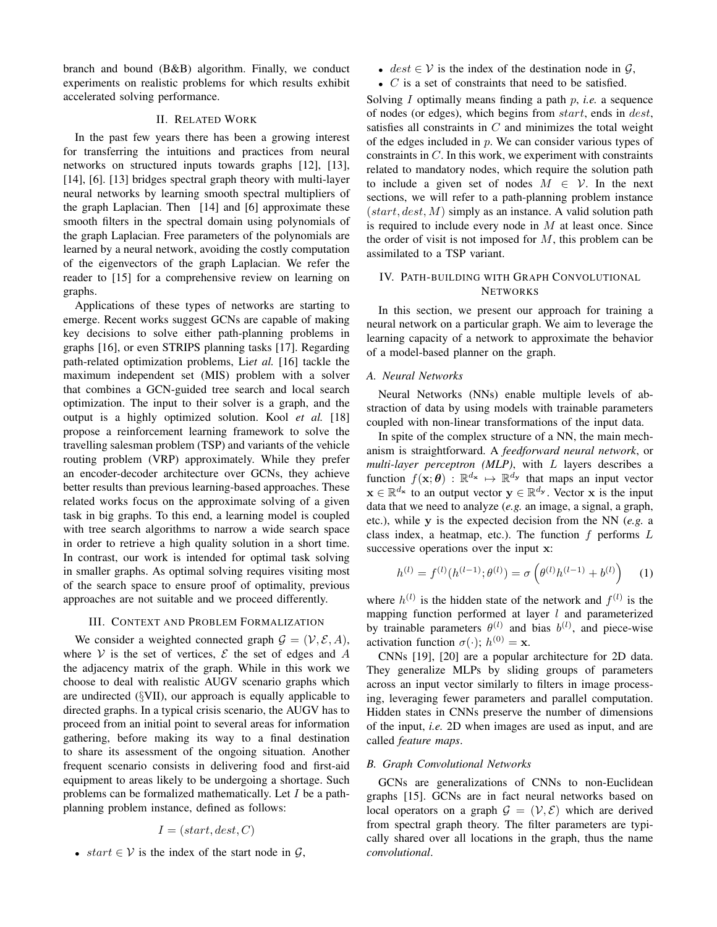branch and bound (B&B) algorithm. Finally, we conduct experiments on realistic problems for which results exhibit accelerated solving performance.

# II. RELATED WORK

In the past few years there has been a growing interest for transferring the intuitions and practices from neural networks on structured inputs towards graphs [12], [13], [14], [6]. [13] bridges spectral graph theory with multi-layer neural networks by learning smooth spectral multipliers of the graph Laplacian. Then [14] and [6] approximate these smooth filters in the spectral domain using polynomials of the graph Laplacian. Free parameters of the polynomials are learned by a neural network, avoiding the costly computation of the eigenvectors of the graph Laplacian. We refer the reader to [15] for a comprehensive review on learning on graphs.

Applications of these types of networks are starting to emerge. Recent works suggest GCNs are capable of making key decisions to solve either path-planning problems in graphs [16], or even STRIPS planning tasks [17]. Regarding path-related optimization problems, Li*et al.* [16] tackle the maximum independent set (MIS) problem with a solver that combines a GCN-guided tree search and local search optimization. The input to their solver is a graph, and the output is a highly optimized solution. Kool *et al.* [18] propose a reinforcement learning framework to solve the travelling salesman problem (TSP) and variants of the vehicle routing problem (VRP) approximately. While they prefer an encoder-decoder architecture over GCNs, they achieve better results than previous learning-based approaches. These related works focus on the approximate solving of a given task in big graphs. To this end, a learning model is coupled with tree search algorithms to narrow a wide search space in order to retrieve a high quality solution in a short time. In contrast, our work is intended for optimal task solving in smaller graphs. As optimal solving requires visiting most of the search space to ensure proof of optimality, previous approaches are not suitable and we proceed differently.

#### III. CONTEXT AND PROBLEM FORMALIZATION

We consider a weighted connected graph  $G = (\mathcal{V}, \mathcal{E}, A)$ , where V is the set of vertices,  $\mathcal E$  the set of edges and A the adjacency matrix of the graph. While in this work we choose to deal with realistic AUGV scenario graphs which are undirected (§VII), our approach is equally applicable to directed graphs. In a typical crisis scenario, the AUGV has to proceed from an initial point to several areas for information gathering, before making its way to a final destination to share its assessment of the ongoing situation. Another frequent scenario consists in delivering food and first-aid equipment to areas likely to be undergoing a shortage. Such problems can be formalized mathematically. Let I be a pathplanning problem instance, defined as follows:

$$
I = (start, dest, C)
$$

• start  $\in V$  is the index of the start node in G,

- $dest \in V$  is the index of the destination node in  $G$ ,
- $C$  is a set of constraints that need to be satisfied.

Solving I optimally means finding a path p, *i.e.* a sequence of nodes (or edges), which begins from start, ends in dest, satisfies all constraints in  $C$  and minimizes the total weight of the edges included in  $p$ . We can consider various types of constraints in C. In this work, we experiment with constraints related to mandatory nodes, which require the solution path to include a given set of nodes  $M \in \mathcal{V}$ . In the next sections, we will refer to a path-planning problem instance  $(start, dest, M)$  simply as an instance. A valid solution path is required to include every node in  $M$  at least once. Since the order of visit is not imposed for  $M$ , this problem can be assimilated to a TSP variant.

# IV. PATH-BUILDING WITH GRAPH CONVOLUTIONAL **NETWORKS**

In this section, we present our approach for training a neural network on a particular graph. We aim to leverage the learning capacity of a network to approximate the behavior of a model-based planner on the graph.

#### *A. Neural Networks*

Neural Networks (NNs) enable multiple levels of abstraction of data by using models with trainable parameters coupled with non-linear transformations of the input data.

In spite of the complex structure of a NN, the main mechanism is straightforward. A *feedforward neural network*, or *multi-layer perceptron (MLP)*, with L layers describes a function  $f(\mathbf{x}; \theta) : \mathbb{R}^{d_{\mathbf{x}}} \mapsto \mathbb{R}^{d_{\mathbf{y}}}$  that maps an input vector  $\mathbf{x} \in \mathbb{R}^{d_{\mathbf{x}}}$  to an output vector  $\mathbf{y} \in \mathbb{R}^{d_{\mathbf{y}}}$ . Vector x is the input data that we need to analyze (*e.g.* an image, a signal, a graph, etc.), while y is the expected decision from the NN (*e.g.* a class index, a heatmap, etc.). The function  $f$  performs  $L$ successive operations over the input x:

$$
h^{(l)} = f^{(l)}(h^{(l-1)}; \theta^{(l)}) = \sigma\left(\theta^{(l)}h^{(l-1)} + b^{(l)}\right) \quad (1)
$$

where  $h^{(l)}$  is the hidden state of the network and  $f^{(l)}$  is the mapping function performed at layer  $l$  and parameterized by trainable parameters  $\theta^{(l)}$  and bias  $b^{(l)}$ , and piece-wise activation function  $\sigma(\cdot)$ ;  $h^{(0)} = \mathbf{x}$ .

CNNs [19], [20] are a popular architecture for 2D data. They generalize MLPs by sliding groups of parameters across an input vector similarly to filters in image processing, leveraging fewer parameters and parallel computation. Hidden states in CNNs preserve the number of dimensions of the input, *i.e.* 2D when images are used as input, and are called *feature maps*.

# *B. Graph Convolutional Networks*

GCNs are generalizations of CNNs to non-Euclidean graphs [15]. GCNs are in fact neural networks based on local operators on a graph  $\mathcal{G} = (\mathcal{V}, \mathcal{E})$  which are derived from spectral graph theory. The filter parameters are typically shared over all locations in the graph, thus the name *convolutional*.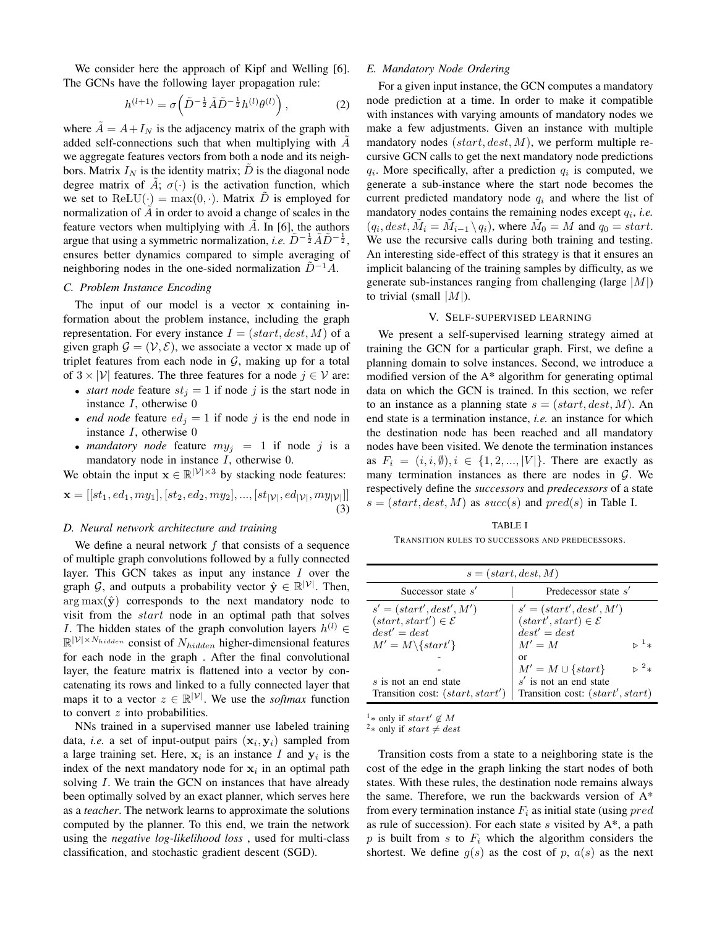We consider here the approach of Kipf and Welling [6]. The GCNs have the following layer propagation rule:

$$
h^{(l+1)} = \sigma\left(\tilde{D}^{-\frac{1}{2}}\tilde{A}\tilde{D}^{-\frac{1}{2}}h^{(l)}\theta^{(l)}\right),\tag{2}
$$

where  $A = A + I_N$  is the adjacency matrix of the graph with added self-connections such that when multiplying with A we aggregate features vectors from both a node and its neighbors. Matrix  $I_N$  is the identity matrix; D is the diagonal node degree matrix of A;  $\sigma(\cdot)$  is the activation function, which we set to  $ReLU(\cdot) = max(0, \cdot)$ . Matrix D is employed for normalization of  $A$  in order to avoid a change of scales in the feature vectors when multiplying with  $\tilde{A}$ . In [6], the authors argue that using a symmetric normalization, *i.e.*  $\tilde{D}^{-\frac{1}{2}}\tilde{A}\tilde{D}^{-\frac{1}{2}}$ , ensures better dynamics compared to simple averaging of neighboring nodes in the one-sided normalization  $\ddot{D}^{-1}A$ .

# *C. Problem Instance Encoding*

The input of our model is a vector x containing information about the problem instance, including the graph representation. For every instance  $I = (start, dest, M)$  of a given graph  $\mathcal{G} = (\mathcal{V}, \mathcal{E})$ , we associate a vector x made up of triplet features from each node in  $G$ , making up for a total of  $3 \times |\mathcal{V}|$  features. The three features for a node  $j \in \mathcal{V}$  are:

- *start node* feature  $st_j = 1$  if node j is the start node in instance  $I$ , otherwise  $0$
- *end node* feature  $ed_i = 1$  if node j is the end node in instance  $I$ , otherwise  $0$
- *mandatory node* feature  $my_i = 1$  if node j is a mandatory node in instance I, otherwise 0.

We obtain the input  $\mathbf{x} \in \mathbb{R}^{|\mathcal{V}| \times 3}$  by stacking node features:

$$
\mathbf{x} = [[st_1, ed_1, my_1], [st_2, ed_2, my_2], ..., [st_{|\mathcal{V}|}, ed_{|\mathcal{V}|}, my_{|\mathcal{V}|}]]
$$
\n(3)

# *D. Neural network architecture and training*

We define a neural network  $f$  that consists of a sequence of multiple graph convolutions followed by a fully connected layer. This GCN takes as input any instance  $I$  over the graph G, and outputs a probability vector  $\hat{\mathbf{y}} \in \mathbb{R}^{|\mathcal{V}|}$ . Then,  $arg max(\hat{y})$  corresponds to the next mandatory node to visit from the start node in an optimal path that solves *I*. The hidden states of the graph convolution layers  $h^{(l)} \in$  $\mathbb{R}^{|\mathcal{V}| \times N_{hidden}}$  consist of  $N_{hidden}$  higher-dimensional features for each node in the graph . After the final convolutional layer, the feature matrix is flattened into a vector by concatenating its rows and linked to a fully connected layer that maps it to a vector  $z \in \mathbb{R}^{|\mathcal{V}|}$ . We use the *softmax* function to convert  $z$  into probabilities.

NNs trained in a supervised manner use labeled training data, *i.e.* a set of input-output pairs  $(x_i, y_i)$  sampled from a large training set. Here,  $x_i$  is an instance I and  $y_i$  is the index of the next mandatory node for  $x_i$  in an optimal path solving *I*. We train the GCN on instances that have already been optimally solved by an exact planner, which serves here as a *teacher*. The network learns to approximate the solutions computed by the planner. To this end, we train the network using the *negative log-likelihood loss* , used for multi-class classification, and stochastic gradient descent (SGD).

# *E. Mandatory Node Ordering*

For a given input instance, the GCN computes a mandatory node prediction at a time. In order to make it compatible with instances with varying amounts of mandatory nodes we make a few adjustments. Given an instance with multiple mandatory nodes  $(start, dest, M)$ , we perform multiple recursive GCN calls to get the next mandatory node predictions  $q_i$ . More specifically, after a prediction  $q_i$  is computed, we generate a sub-instance where the start node becomes the current predicted mandatory node  $q_i$  and where the list of mandatory nodes contains the remaining nodes except  $q_i$ , *i.e.*  $(q_i, dest, \tilde{M}_i = \tilde{M}_{i-1} \setminus q_i)$ , where  $\tilde{M}_0 = M$  and  $q_0 = start$ . We use the recursive calls during both training and testing. An interesting side-effect of this strategy is that it ensures an implicit balancing of the training samples by difficulty, as we generate sub-instances ranging from challenging (large  $|M|$ ) to trivial (small  $|M|$ ).

## V. SELF-SUPERVISED LEARNING

We present a self-supervised learning strategy aimed at training the GCN for a particular graph. First, we define a planning domain to solve instances. Second, we introduce a modified version of the A\* algorithm for generating optimal data on which the GCN is trained. In this section, we refer to an instance as a planning state  $s = (start, dest, M)$ . An end state is a termination instance, *i.e.* an instance for which the destination node has been reached and all mandatory nodes have been visited. We denote the termination instances as  $F_i = (i, i, \emptyset), i \in \{1, 2, ..., |V|\}$ . There are exactly as many termination instances as there are nodes in  $G$ . We respectively define the *successors* and *predecessors* of a state  $s = (start, dest, M)$  as  $succ(s)$  and  $pred(s)$  in Table I.

#### TABLE I

TRANSITION RULES TO SUCCESSORS AND PREDECESSORS.

| $s = (start, dest, M)$                                                                                                                                                          |                                                                                                                                                                                                                        |  |  |  |  |
|---------------------------------------------------------------------------------------------------------------------------------------------------------------------------------|------------------------------------------------------------------------------------------------------------------------------------------------------------------------------------------------------------------------|--|--|--|--|
| Successor state $s'$                                                                                                                                                            | Predecessor state s'                                                                                                                                                                                                   |  |  |  |  |
| $s' = (start', dest', M')$<br>$(start, start') \in \mathcal{E}$<br>$dest' = dest$<br>$M' = M \setminus \{start'\}$<br>s is not an end state<br>Transition cost: (start, start') | $s' = (start', dest', M')$ $(start', start) \in \mathcal{E}$<br>$dest^{\prime}=dest$<br>$M' = M$<br>$\perp$<br>or<br>$M' = M \cup \{start\}$<br>$^{2}$<br>$s'$ is not an end state<br>Transition cost: (start', start) |  |  |  |  |

<sup>1</sup>∗ only if start' ∉ M

<sup>2</sup>∗ only if start  $\neq dest$ 

Transition costs from a state to a neighboring state is the cost of the edge in the graph linking the start nodes of both states. With these rules, the destination node remains always the same. Therefore, we run the backwards version of  $A^*$ from every termination instance  $F_i$  as initial state (using  $pred$ as rule of succession). For each state s visited by  $A^*$ , a path p is built from s to  $F_i$  which the algorithm considers the shortest. We define  $g(s)$  as the cost of p,  $a(s)$  as the next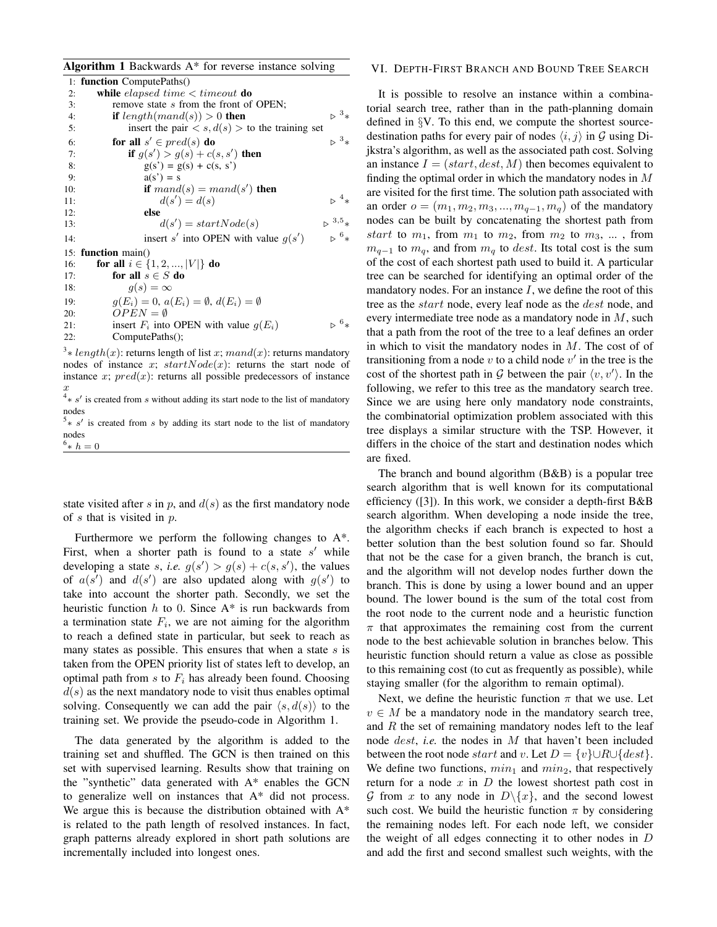|               | <b>Algorithm 1</b> Backwards $A^*$ for reverse instance solving                                   |                                 |
|---------------|---------------------------------------------------------------------------------------------------|---------------------------------|
|               | 1: <b>function</b> ComputePaths()                                                                 |                                 |
| 2:            | while <i>elapsed</i> time $\lt$ timeout <b>do</b>                                                 |                                 |
| 3:            | remove state s from the front of OPEN;                                                            |                                 |
| 4:            | <b>if</b> length(mand(s)) > 0 <b>then</b>                                                         | $\triangleright$ $\frac{3}{*}$  |
| 5:            | insert the pair $\langle s, d(s) \rangle$ to the training set                                     |                                 |
| 6:            | for all $s' \in pred(s)$ do                                                                       | $>3*$                           |
| 7:            | <b>if</b> $g(s') > g(s) + c(s, s')$ then                                                          |                                 |
| 8:            | $g(s') = g(s) + c(s, s')$                                                                         |                                 |
| 9:            | $a(s') = s$                                                                                       |                                 |
| 10:           | if $mand(s) = mand(s')$ then                                                                      |                                 |
| 11:           | $d(s') = d(s)$                                                                                    | $\triangleright$ <sup>4</sup> * |
| 12:           | else                                                                                              |                                 |
| 13:           | $d(s') = startNode(s)$                                                                            | $>^{3,5}$ *                     |
| 14:           | insert s' into OPEN with value $g(s')$                                                            | $\triangleright$ $^{6}$ *       |
| 15:           | function main()                                                                                   |                                 |
| 16:           | for all $i \in \{1, 2, ,  V \}$ do                                                                |                                 |
| 17:           | for all $s \in S$ do                                                                              |                                 |
| 18:           | $q(s) = \infty$                                                                                   |                                 |
| 19:           | $g(E_i) = 0, a(E_i) = \emptyset, d(E_i) = \emptyset$                                              |                                 |
| 20:           | $OPEN = \emptyset$                                                                                |                                 |
| 21:           | insert $F_i$ into OPEN with value $g(E_i)$                                                        | $5^6*$                          |
| 22:           | ComputePaths();                                                                                   |                                 |
| $\mathcal{F}$ | $\mathbf{u} \cdot \mathbf{v}$ and $\mathbf{v} \cdot \mathbf{v}$ and $\mathbf{v} \cdot \mathbf{v}$ |                                 |

<sup>3</sup>  $\ast$  *length*(x): returns length of list x; mand(x): returns mandatory nodes of instance x;  $startNode(x)$ : returns the start node of instance x;  $pred(x)$ : returns all possible predecessors of instance

 $x$ <br><sup>4</sup>  $\ast$  *s'* is created from *s* without adding its start node to the list of mandatory nodes

 $5* s'$  is created from s by adding its start node to the list of mandatory nodes  $^{6}*h=0$ 

state visited after s in p, and  $d(s)$  as the first mandatory node of  $s$  that is visited in  $p$ .

Furthermore we perform the following changes to A\*. First, when a shorter path is found to a state  $s'$  while developing a state s, *i.e.*  $g(s') > g(s) + c(s, s')$ , the values of  $a(s')$  and  $d(s')$  are also updated along with  $g(s')$  to take into account the shorter path. Secondly, we set the heuristic function  $h$  to 0. Since  $A^*$  is run backwards from a termination state  $F_i$ , we are not aiming for the algorithm to reach a defined state in particular, but seek to reach as many states as possible. This ensures that when a state  $s$  is taken from the OPEN priority list of states left to develop, an optimal path from s to  $F_i$  has already been found. Choosing  $d(s)$  as the next mandatory node to visit thus enables optimal solving. Consequently we can add the pair  $\langle s, d(s) \rangle$  to the training set. We provide the pseudo-code in Algorithm 1.

The data generated by the algorithm is added to the training set and shuffled. The GCN is then trained on this set with supervised learning. Results show that training on the "synthetic" data generated with A\* enables the GCN to generalize well on instances that A\* did not process. We argue this is because the distribution obtained with A\* is related to the path length of resolved instances. In fact, graph patterns already explored in short path solutions are incrementally included into longest ones.

# VI. DEPTH-FIRST BRANCH AND BOUND TREE SEARCH

It is possible to resolve an instance within a combinatorial search tree, rather than in the path-planning domain defined in §V. To this end, we compute the shortest sourcedestination paths for every pair of nodes  $\langle i, j \rangle$  in G using Dijkstra's algorithm, as well as the associated path cost. Solving an instance  $I = (start, dest, M)$  then becomes equivalent to finding the optimal order in which the mandatory nodes in  $M$ are visited for the first time. The solution path associated with an order  $o = (m_1, m_2, m_3, ..., m_{q-1}, m_q)$  of the mandatory nodes can be built by concatenating the shortest path from start to  $m_1$ , from  $m_1$  to  $m_2$ , from  $m_2$  to  $m_3$ , ..., from  $m_{q-1}$  to  $m_q$ , and from  $m_q$  to dest. Its total cost is the sum of the cost of each shortest path used to build it. A particular tree can be searched for identifying an optimal order of the mandatory nodes. For an instance  $I$ , we define the root of this tree as the *start* node, every leaf node as the *dest* node, and every intermediate tree node as a mandatory node in M, such that a path from the root of the tree to a leaf defines an order in which to visit the mandatory nodes in  $M$ . The cost of of transitioning from a node  $v$  to a child node  $v'$  in the tree is the cost of the shortest path in G between the pair  $\langle v, v' \rangle$ . In the following, we refer to this tree as the mandatory search tree. Since we are using here only mandatory node constraints, the combinatorial optimization problem associated with this tree displays a similar structure with the TSP. However, it differs in the choice of the start and destination nodes which are fixed.

The branch and bound algorithm (B&B) is a popular tree search algorithm that is well known for its computational efficiency ([3]). In this work, we consider a depth-first B&B search algorithm. When developing a node inside the tree, the algorithm checks if each branch is expected to host a better solution than the best solution found so far. Should that not be the case for a given branch, the branch is cut, and the algorithm will not develop nodes further down the branch. This is done by using a lower bound and an upper bound. The lower bound is the sum of the total cost from the root node to the current node and a heuristic function  $\pi$  that approximates the remaining cost from the current node to the best achievable solution in branches below. This heuristic function should return a value as close as possible to this remaining cost (to cut as frequently as possible), while staying smaller (for the algorithm to remain optimal).

Next, we define the heuristic function  $\pi$  that we use. Let  $v \in M$  be a mandatory node in the mandatory search tree, and  $R$  the set of remaining mandatory nodes left to the leaf node dest, *i.e.* the nodes in M that haven't been included between the root node start and v. Let  $D = \{v\} \cup R \cup \{dest\}.$ We define two functions,  $min_1$  and  $min_2$ , that respectively return for a node  $x$  in  $D$  the lowest shortest path cost in G from x to any node in  $D \setminus \{x\}$ , and the second lowest such cost. We build the heuristic function  $\pi$  by considering the remaining nodes left. For each node left, we consider the weight of all edges connecting it to other nodes in  $D$ and add the first and second smallest such weights, with the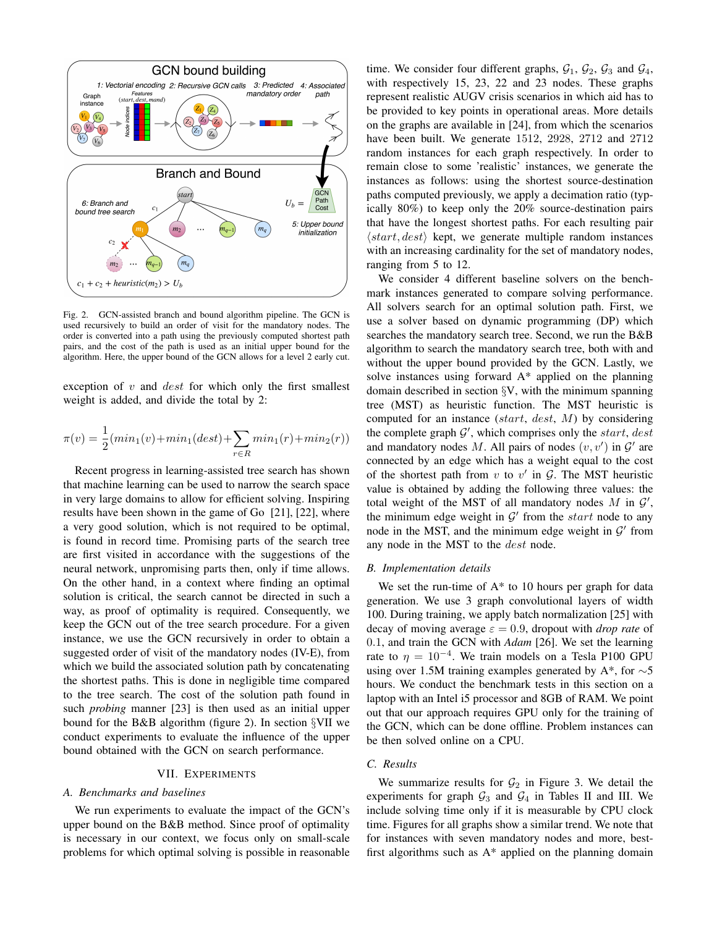

Fig. 2. GCN-assisted branch and bound algorithm pipeline. The GCN is used recursively to build an order of visit for the mandatory nodes. The order is converted into a path using the previously computed shortest path pairs, and the cost of the path is used as an initial upper bound for the algorithm. Here, the upper bound of the GCN allows for a level 2 early cut.

exception of  $v$  and  $dest$  for which only the first smallest weight is added, and divide the total by 2:

$$
\pi(v) = \frac{1}{2}(min_1(v) + min_1(dest) + \sum_{r \in R} min_1(r) + min_2(r))
$$

Recent progress in learning-assisted tree search has shown that machine learning can be used to narrow the search space in very large domains to allow for efficient solving. Inspiring results have been shown in the game of Go [21], [22], where a very good solution, which is not required to be optimal, is found in record time. Promising parts of the search tree are first visited in accordance with the suggestions of the neural network, unpromising parts then, only if time allows. On the other hand, in a context where finding an optimal solution is critical, the search cannot be directed in such a way, as proof of optimality is required. Consequently, we keep the GCN out of the tree search procedure. For a given instance, we use the GCN recursively in order to obtain a suggested order of visit of the mandatory nodes (IV-E), from which we build the associated solution path by concatenating the shortest paths. This is done in negligible time compared to the tree search. The cost of the solution path found in such *probing* manner [23] is then used as an initial upper bound for the B&B algorithm (figure 2). In section §VII we conduct experiments to evaluate the influence of the upper bound obtained with the GCN on search performance.

#### VII. EXPERIMENTS

# *A. Benchmarks and baselines*

We run experiments to evaluate the impact of the GCN's upper bound on the B&B method. Since proof of optimality is necessary in our context, we focus only on small-scale problems for which optimal solving is possible in reasonable

time. We consider four different graphs,  $G_1$ ,  $G_2$ ,  $G_3$  and  $G_4$ , with respectively 15, 23, 22 and 23 nodes. These graphs represent realistic AUGV crisis scenarios in which aid has to be provided to key points in operational areas. More details on the graphs are available in [24], from which the scenarios have been built. We generate 1512, 2928, 2712 and 2712 random instances for each graph respectively. In order to remain close to some 'realistic' instances, we generate the instances as follows: using the shortest source-destination paths computed previously, we apply a decimation ratio (typically 80%) to keep only the 20% source-destination pairs that have the longest shortest paths. For each resulting pair  $\langle start, dest \rangle$  kept, we generate multiple random instances with an increasing cardinality for the set of mandatory nodes, ranging from 5 to 12.

We consider 4 different baseline solvers on the benchmark instances generated to compare solving performance. All solvers search for an optimal solution path. First, we use a solver based on dynamic programming (DP) which searches the mandatory search tree. Second, we run the B&B algorithm to search the mandatory search tree, both with and without the upper bound provided by the GCN. Lastly, we solve instances using forward  $A^*$  applied on the planning domain described in section §V, with the minimum spanning tree (MST) as heuristic function. The MST heuristic is computed for an instance (start, dest, M) by considering the complete graph  $\mathcal{G}'$ , which comprises only the start, dest and mandatory nodes M. All pairs of nodes  $(v, v')$  in  $\mathcal{G}'$  are connected by an edge which has a weight equal to the cost of the shortest path from  $v$  to  $v'$  in  $G$ . The MST heuristic value is obtained by adding the following three values: the total weight of the MST of all mandatory nodes  $M$  in  $\mathcal{G}'$ , the minimum edge weight in  $\mathcal{G}'$  from the start node to any node in the MST, and the minimum edge weight in  $\mathcal{G}'$  from any node in the MST to the dest node.

# *B. Implementation details*

We set the run-time of  $A^*$  to 10 hours per graph for data generation. We use 3 graph convolutional layers of width 100. During training, we apply batch normalization [25] with decay of moving average  $\varepsilon = 0.9$ , dropout with *drop rate* of 0.1, and train the GCN with *Adam* [26]. We set the learning rate to  $\eta = 10^{-4}$ . We train models on a Tesla P100 GPU using over 1.5M training examples generated by A\*, for ∼5 hours. We conduct the benchmark tests in this section on a laptop with an Intel i5 processor and 8GB of RAM. We point out that our approach requires GPU only for the training of the GCN, which can be done offline. Problem instances can be then solved online on a CPU.

# *C. Results*

We summarize results for  $\mathcal{G}_2$  in Figure 3. We detail the experiments for graph  $G_3$  and  $G_4$  in Tables II and III. We include solving time only if it is measurable by CPU clock time. Figures for all graphs show a similar trend. We note that for instances with seven mandatory nodes and more, bestfirst algorithms such as  $A^*$  applied on the planning domain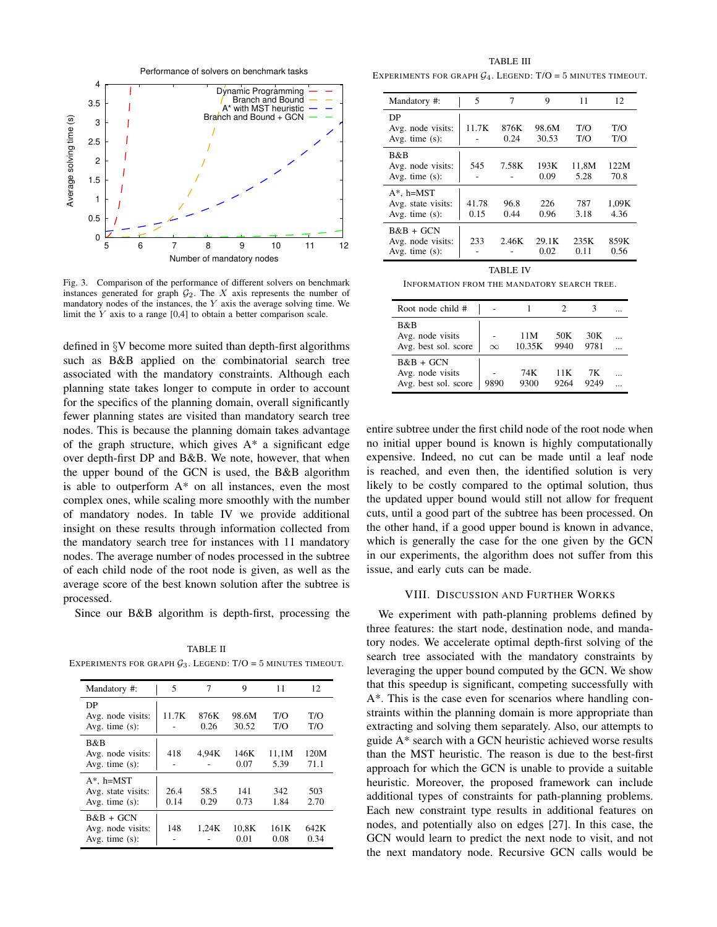

Fig. 3. Comparison of the performance of different solvers on benchmark instances generated for graph  $G_2$ . The X axis represents the number of mandatory nodes of the instances, the  $Y$  axis the average solving time. We limit the Y axis to a range [0,4] to obtain a better comparison scale.

defined in §V become more suited than depth-first algorithms such as B&B applied on the combinatorial search tree associated with the mandatory constraints. Although each planning state takes longer to compute in order to account for the specifics of the planning domain, overall significantly fewer planning states are visited than mandatory search tree nodes. This is because the planning domain takes advantage of the graph structure, which gives  $A^*$  a significant edge over depth-first DP and B&B. We note, however, that when the upper bound of the GCN is used, the B&B algorithm is able to outperform A\* on all instances, even the most complex ones, while scaling more smoothly with the number of mandatory nodes. In table IV we provide additional insight on these results through information collected from the mandatory search tree for instances with 11 mandatory nodes. The average number of nodes processed in the subtree of each child node of the root node is given, as well as the average score of the best known solution after the subtree is processed.

Since our B&B algorithm is depth-first, processing the

TABLE II EXPERIMENTS FOR GRAPH  $\mathcal{G}_3$ . LEGEND: T/O = 5 MINUTES TIMEOUT.

| Mandatory #:                                             | 5            | 7            | 9              | 11            | 12           |
|----------------------------------------------------------|--------------|--------------|----------------|---------------|--------------|
| DР<br>Avg. node visits:<br>Avg. time $(s)$ :             | 11.7K        | 876K<br>0.26 | 98.6M<br>30.52 | T/O<br>T/O    | T/O<br>T/O   |
| B&B<br>Avg. node visits:<br>Avg. time $(s)$ :            | 418          | 4,94K        | 146K<br>0.07   | 11,1M<br>5.39 | 120M<br>71.1 |
| $A^*$ , h=MST<br>Avg. state visits:<br>Avg. time $(s)$ : | 26.4<br>0.14 | 58.5<br>0.29 | 141<br>0.73    | 342<br>1.84   | 503<br>2.70  |
| $B&B + GCN$<br>Avg. node visits:<br>Avg. time $(s)$ :    | 148          | 1.24K        | 10.8K<br>0.01  | 161K<br>0.08  | 642K<br>0.34 |

TABLE III EXPERIMENTS FOR GRAPH  $G_4$ . LEGEND: T/O = 5 MINUTES TIMEOUT.

| Mandatory #:                                             | 5             | 7            | 9              | 11            | 12            |  |
|----------------------------------------------------------|---------------|--------------|----------------|---------------|---------------|--|
| DP<br>Avg. node visits:<br>Avg. time $(s)$ :             | 11.7K         | 876K<br>0.24 | 98.6M<br>30.53 | T/O<br>T/O    | T/O<br>T/O    |  |
| B&B<br>Avg. node visits:<br>Avg. time $(s)$ :            | 545           | 7.58K        | 193K<br>0.09   | 11,8M<br>5.28 | 122M<br>70.8  |  |
| $A^*$ , h=MST<br>Avg. state visits:<br>Avg. time $(s)$ : | 41.78<br>0.15 | 96.8<br>0.44 | 226<br>0.96    | 787<br>3.18   | 1,09K<br>4.36 |  |
| $B&B+GCN$<br>Avg. node visits:<br>Avg. time $(s)$ :      | 233           | 2.46K        | 29.1K<br>0.02  | 235K<br>0.11  | 859K<br>0.56  |  |
| TABLE IV                                                 |               |              |                |               |               |  |

INFORMATION FROM THE MANDATORY SEARCH TREE.

| Root node child #                                     |          |               |              |             |  |
|-------------------------------------------------------|----------|---------------|--------------|-------------|--|
| B&B<br>Avg. node visits<br>Avg. best sol. score       | $\infty$ | 11M<br>10.35K | 50K<br>9940  | 30K<br>9781 |  |
| B&B + GCN<br>Avg. node visits<br>Avg. best sol. score | 9890     | 74K<br>9300   | 11 K<br>9264 | 7K.<br>9249 |  |

entire subtree under the first child node of the root node when no initial upper bound is known is highly computationally expensive. Indeed, no cut can be made until a leaf node is reached, and even then, the identified solution is very likely to be costly compared to the optimal solution, thus the updated upper bound would still not allow for frequent cuts, until a good part of the subtree has been processed. On the other hand, if a good upper bound is known in advance, which is generally the case for the one given by the GCN in our experiments, the algorithm does not suffer from this issue, and early cuts can be made.

## VIII. DISCUSSION AND FURTHER WORKS

We experiment with path-planning problems defined by three features: the start node, destination node, and mandatory nodes. We accelerate optimal depth-first solving of the search tree associated with the mandatory constraints by leveraging the upper bound computed by the GCN. We show that this speedup is significant, competing successfully with A\*. This is the case even for scenarios where handling constraints within the planning domain is more appropriate than extracting and solving them separately. Also, our attempts to guide A\* search with a GCN heuristic achieved worse results than the MST heuristic. The reason is due to the best-first approach for which the GCN is unable to provide a suitable heuristic. Moreover, the proposed framework can include additional types of constraints for path-planning problems. Each new constraint type results in additional features on nodes, and potentially also on edges [27]. In this case, the GCN would learn to predict the next node to visit, and not the next mandatory node. Recursive GCN calls would be